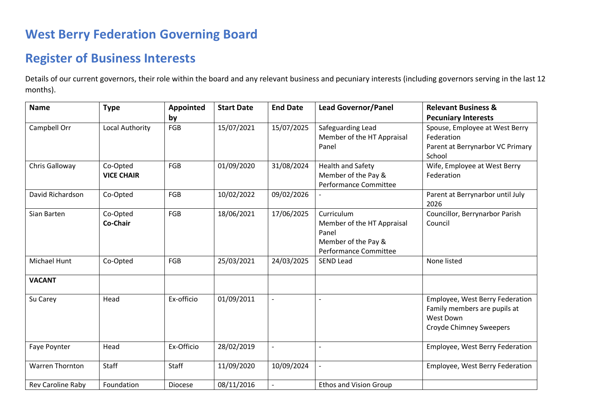## **West Berry Federation Governing Board**

## **Register of Business Interests**

Details of our current governors, their role within the board and any relevant business and pecuniary interests (including governors serving in the last 12 months).

| <b>Name</b>            | <b>Type</b>                   | Appointed      | <b>Start Date</b> | <b>End Date</b> | <b>Lead Governor/Panel</b>                                                                        | <b>Relevant Business &amp;</b>                                                                                        |
|------------------------|-------------------------------|----------------|-------------------|-----------------|---------------------------------------------------------------------------------------------------|-----------------------------------------------------------------------------------------------------------------------|
|                        |                               | by             |                   |                 |                                                                                                   | <b>Pecuniary Interests</b>                                                                                            |
| Campbell Orr           | Local Authority               | FGB            | 15/07/2021        | 15/07/2025      | Safeguarding Lead<br>Member of the HT Appraisal<br>Panel                                          | Spouse, Employee at West Berry<br>Federation<br>Parent at Berrynarbor VC Primary<br>School                            |
| Chris Galloway         | Co-Opted<br><b>VICE CHAIR</b> | FGB            | 01/09/2020        | 31/08/2024      | <b>Health and Safety</b><br>Member of the Pay &<br>Performance Committee                          | Wife, Employee at West Berry<br>Federation                                                                            |
| David Richardson       | Co-Opted                      | FGB            | 10/02/2022        | 09/02/2026      |                                                                                                   | Parent at Berrynarbor until July<br>2026                                                                              |
| Sian Barten            | Co-Opted<br>Co-Chair          | FGB            | 18/06/2021        | 17/06/2025      | Curriculum<br>Member of the HT Appraisal<br>Panel<br>Member of the Pay &<br>Performance Committee | Councillor, Berrynarbor Parish<br>Council                                                                             |
| Michael Hunt           | Co-Opted                      | FGB            | 25/03/2021        | 24/03/2025      | <b>SEND Lead</b>                                                                                  | None listed                                                                                                           |
| <b>VACANT</b>          |                               |                |                   |                 |                                                                                                   |                                                                                                                       |
| Su Carey               | Head                          | Ex-officio     | 01/09/2011        | $\overline{a}$  |                                                                                                   | Employee, West Berry Federation<br>Family members are pupils at<br><b>West Down</b><br><b>Croyde Chimney Sweepers</b> |
| Faye Poynter           | Head                          | Ex-Officio     | 28/02/2019        | $\overline{a}$  | $\overline{\phantom{0}}$                                                                          | Employee, West Berry Federation                                                                                       |
| <b>Warren Thornton</b> | <b>Staff</b>                  | <b>Staff</b>   | 11/09/2020        | 10/09/2024      |                                                                                                   | Employee, West Berry Federation                                                                                       |
| Rev Caroline Raby      | Foundation                    | <b>Diocese</b> | 08/11/2016        |                 | <b>Ethos and Vision Group</b>                                                                     |                                                                                                                       |